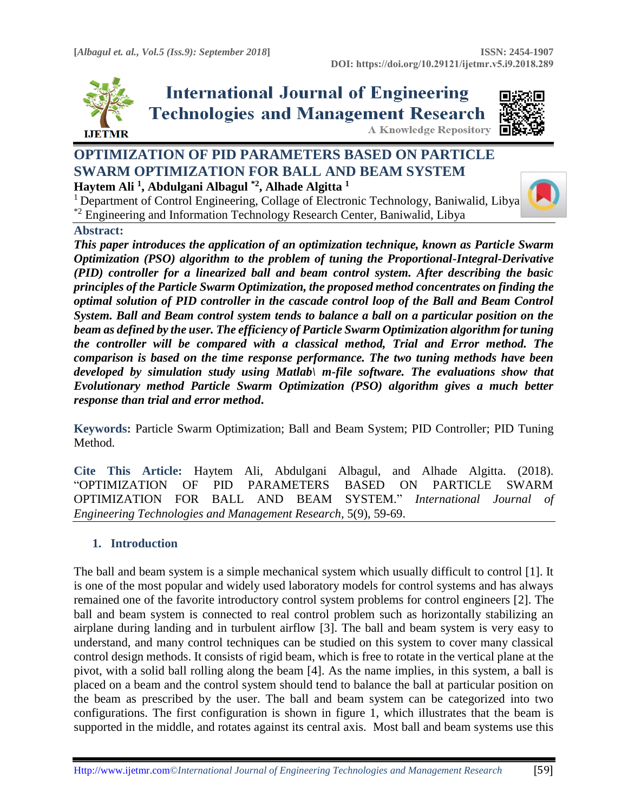

**International Journal of Engineering Technologies and Management Research** 



# **OPTIMIZATION OF PID PARAMETERS BASED ON PARTICLE SWARM OPTIMIZATION FOR BALL AND BEAM SYSTEM**

**Haytem Ali <sup>1</sup> , Abdulgani Albagul \*2, Alhade Algitta <sup>1</sup>**

<sup>1</sup> Department of Control Engineering, Collage of Electronic Technology, Baniwalid, Libya \*2 Engineering and Information Technology Research Center, Baniwalid, Libya

## **Abstract:**

*This paper introduces the application of an optimization technique, known as Particle Swarm Optimization (PSO) algorithm to the problem of tuning the Proportional-Integral-Derivative (PID) controller for a linearized ball and beam control system. After describing the basic principles of the Particle Swarm Optimization, the proposed method concentrates on finding the optimal solution of PID controller in the cascade control loop of the Ball and Beam Control System. Ball and Beam control system tends to balance a ball on a particular position on the beam as defined by the user. The efficiency of Particle Swarm Optimization algorithm for tuning the controller will be compared with a classical method, Trial and Error method. The comparison is based on the time response performance. The two tuning methods have been developed by simulation study using Matlab\ m-file software. The evaluations show that Evolutionary method Particle Swarm Optimization (PSO) algorithm gives a much better response than trial and error method***.**

**Keywords:** Particle Swarm Optimization; Ball and Beam System; PID Controller; PID Tuning Method*.* 

**Cite This Article:** Haytem Ali, Abdulgani Albagul, and Alhade Algitta. (2018). "OPTIMIZATION OF PID PARAMETERS BASED ON PARTICLE SWARM OPTIMIZATION FOR BALL AND BEAM SYSTEM." *International Journal of Engineering Technologies and Management Research,* 5(9), 59-69.

## **1. Introduction**

The ball and beam system is a simple mechanical system which usually difficult to control [1]. It is one of the most popular and widely used laboratory models for control systems and has always remained one of the favorite introductory control system problems for control engineers [2]. The ball and beam system is connected to real control problem such as horizontally stabilizing an airplane during landing and in turbulent airflow [3]. The ball and beam system is very easy to understand, and many control techniques can be studied on this system to cover many classical control design methods. It consists of rigid beam, which is free to rotate in the vertical plane at the pivot, with a solid ball rolling along the beam [4]. As the name implies, in this system, a ball is placed on a beam and the control system should tend to balance the ball at particular position on the beam as prescribed by the user. The ball and beam system can be categorized into two configurations. The first configuration is shown in figure 1, which illustrates that the beam is supported in the middle, and rotates against its central axis. Most ball and beam systems use this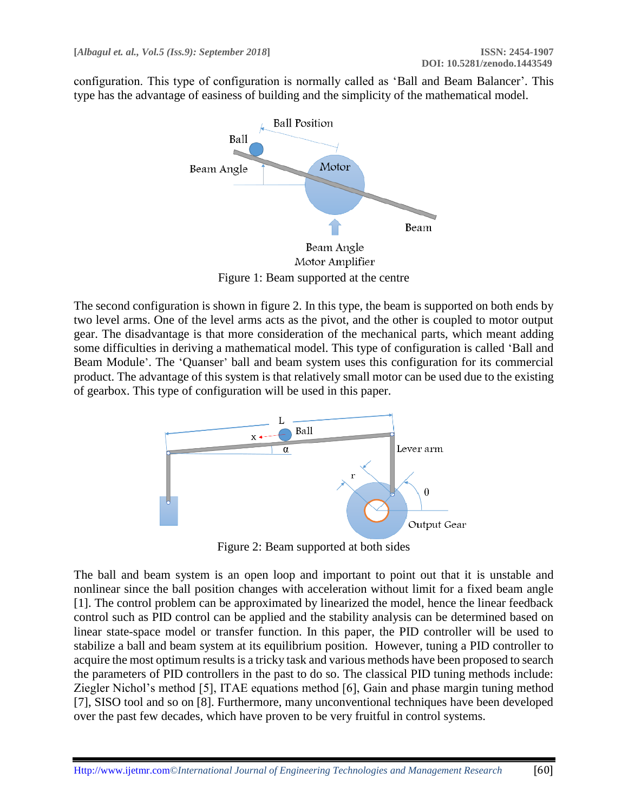configuration. This type of configuration is normally called as 'Ball and Beam Balancer'. This type has the advantage of easiness of building and the simplicity of the mathematical model.



Motor Amplifier Figure 1: Beam supported at the centre

The second configuration is shown in figure 2. In this type, the beam is supported on both ends by two level arms. One of the level arms acts as the pivot, and the other is coupled to motor output gear. The disadvantage is that more consideration of the mechanical parts, which meant adding some difficulties in deriving a mathematical model. This type of configuration is called 'Ball and Beam Module'. The 'Quanser' ball and beam system uses this configuration for its commercial product. The advantage of this system is that relatively small motor can be used due to the existing of gearbox. This type of configuration will be used in this paper.



Figure 2: Beam supported at both sides

The ball and beam system is an open loop and important to point out that it is unstable and nonlinear since the ball position changes with acceleration without limit for a fixed beam angle [1]. The control problem can be approximated by linearized the model, hence the linear feedback control such as PID control can be applied and the stability analysis can be determined based on linear state-space model or transfer function. In this paper, the PID controller will be used to stabilize a ball and beam system at its equilibrium position. However, tuning a PID controller to acquire the most optimum results is a tricky task and various methods have been proposed to search the parameters of PID controllers in the past to do so. The classical PID tuning methods include: Ziegler Nichol's method [5], ITAE equations method [6], Gain and phase margin tuning method [7], SISO tool and so on [8]. Furthermore, many unconventional techniques have been developed over the past few decades, which have proven to be very fruitful in control systems.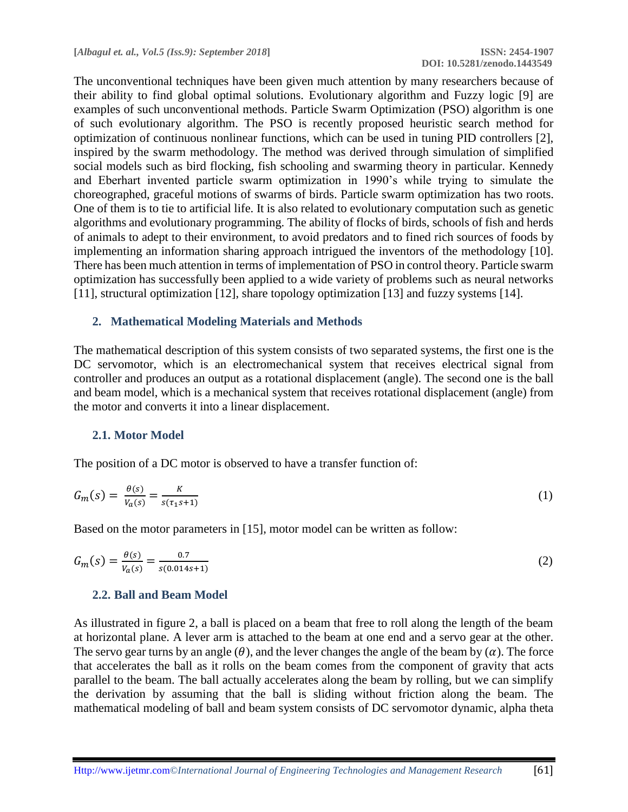The unconventional techniques have been given much attention by many researchers because of their ability to find global optimal solutions. Evolutionary algorithm and Fuzzy logic [9] are examples of such unconventional methods. Particle Swarm Optimization (PSO) algorithm is one of such evolutionary algorithm. The PSO is recently proposed heuristic search method for optimization of continuous nonlinear functions, which can be used in tuning PID controllers [2], inspired by the swarm methodology. The method was derived through simulation of simplified social models such as bird flocking, fish schooling and swarming theory in particular. Kennedy and Eberhart invented particle swarm optimization in 1990's while trying to simulate the choreographed, graceful motions of swarms of birds. Particle swarm optimization has two roots. One of them is to tie to artificial life. It is also related to evolutionary computation such as genetic algorithms and evolutionary programming. The ability of flocks of birds, schools of fish and herds of animals to adept to their environment, to avoid predators and to fined rich sources of foods by implementing an information sharing approach intrigued the inventors of the methodology [10]. There has been much attention in terms of implementation of PSO in control theory. Particle swarm optimization has successfully been applied to a wide variety of problems such as neural networks [11], structural optimization [12], share topology optimization [13] and fuzzy systems [14].

## **2. Mathematical Modeling Materials and Methods**

The mathematical description of this system consists of two separated systems, the first one is the DC servomotor, which is an electromechanical system that receives electrical signal from controller and produces an output as a rotational displacement (angle). The second one is the ball and beam model, which is a mechanical system that receives rotational displacement (angle) from the motor and converts it into a linear displacement.

#### **2.1. Motor Model**

The position of a DC motor is observed to have a transfer function of:

$$
G_m(s) = \frac{\theta(s)}{V_a(s)} = \frac{K}{s(\tau_1 s + 1)}\tag{1}
$$

Based on the motor parameters in [15], motor model can be written as follow:

$$
G_m(s) = \frac{\theta(s)}{V_a(s)} = \frac{0.7}{s(0.014s + 1)}
$$
(2)

#### **2.2. Ball and Beam Model**

As illustrated in figure 2, a ball is placed on a beam that free to roll along the length of the beam at horizontal plane. A lever arm is attached to the beam at one end and a servo gear at the other. The servo gear turns by an angle  $(\theta)$ , and the lever changes the angle of the beam by  $(\alpha)$ . The force that accelerates the ball as it rolls on the beam comes from the component of gravity that acts parallel to the beam. The ball actually accelerates along the beam by rolling, but we can simplify the derivation by assuming that the ball is sliding without friction along the beam. The mathematical modeling of ball and beam system consists of DC servomotor dynamic, alpha theta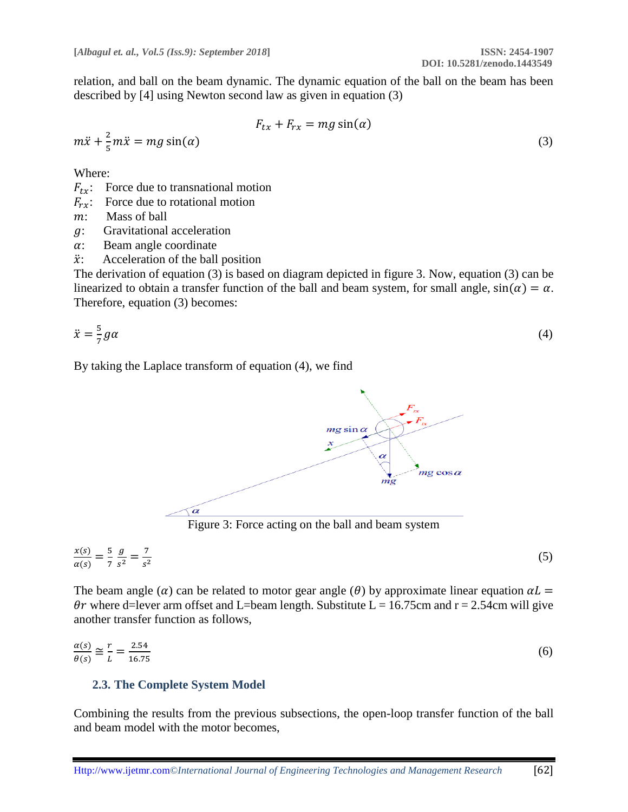relation, and ball on the beam dynamic. The dynamic equation of the ball on the beam has been described by [4] using Newton second law as given in equation (3)

$$
F_{tx} + F_{rx} = mg \sin(\alpha)
$$
  

$$
m\ddot{x} = mg \sin(\alpha)
$$
 (3)

Where:

 $m\ddot{x} + \frac{2}{5}$ 5

- $F_{tx}$ : Force due to transnational motion
- $F_{rx}$ : Force due to rotational motion
- : Mass of ball
- : Gravitational acceleration
- $\alpha$ : Beam angle coordinate
- $\ddot{x}$ : Acceleration of the ball position

The derivation of equation (3) is based on diagram depicted in figure 3. Now, equation (3) can be linearized to obtain a transfer function of the ball and beam system, for small angle,  $sin(\alpha) = \alpha$ . Therefore, equation (3) becomes:

$$
\ddot{x} = \frac{5}{7}g\alpha\tag{4}
$$

By taking the Laplace transform of equation (4), we find



Figure 3: Force acting on the ball and beam system

$$
\frac{x(s)}{\alpha(s)} = \frac{5}{7} \frac{g}{s^2} = \frac{7}{s^2}
$$
 (5)

The beam angle ( $\alpha$ ) can be related to motor gear angle ( $\theta$ ) by approximate linear equation  $\alpha L =$  $\theta r$  where d=lever arm offset and L=beam length. Substitute L = 16.75cm and r = 2.54cm will give another transfer function as follows,

$$
\frac{\alpha(s)}{\theta(s)} \cong \frac{r}{L} = \frac{2.54}{16.75} \tag{6}
$$

#### **2.3. The Complete System Model**

Combining the results from the previous subsections, the open-loop transfer function of the ball and beam model with the motor becomes,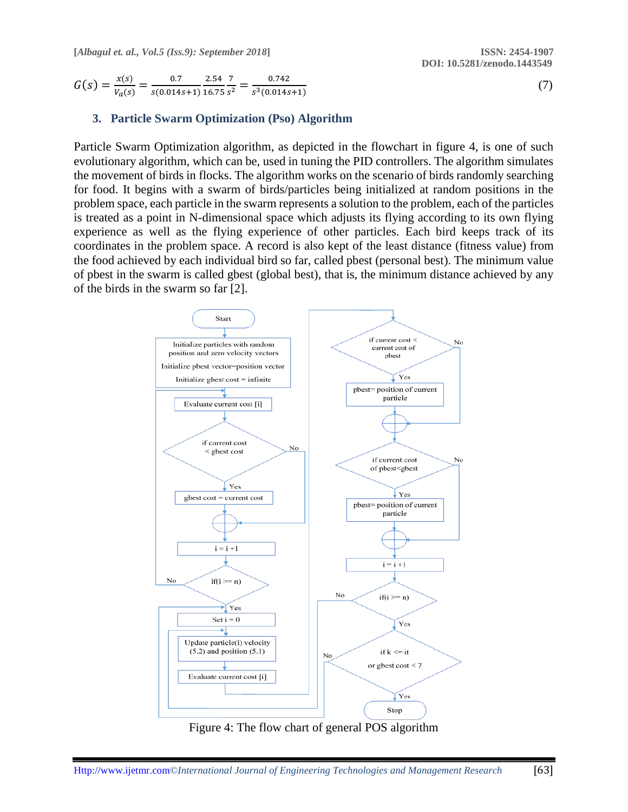(7)

 $G(s) = \frac{x(s)}{x(s)}$  $\frac{x(s)}{V_a(s)} = \frac{0.7}{s(0.014)}$  $s(0.014s+1)$ 2.54 16.75 7  $\frac{7}{s^2} = \frac{0.742}{s^3 (0.014s)}$  $s^3(0.014s+1)$ 

# **3. Particle Swarm Optimization (Pso) Algorithm**

Particle Swarm Optimization algorithm, as depicted in the flowchart in figure 4, is one of such evolutionary algorithm, which can be, used in tuning the PID controllers. The algorithm simulates the movement of birds in flocks. The algorithm works on the scenario of birds randomly searching for food. It begins with a swarm of birds/particles being initialized at random positions in the problem space, each particle in the swarm represents a solution to the problem, each of the particles is treated as a point in N-dimensional space which adjusts its flying according to its own flying experience as well as the flying experience of other particles. Each bird keeps track of its coordinates in the problem space. A record is also kept of the least distance (fitness value) from the food achieved by each individual bird so far, called pbest (personal best). The minimum value of pbest in the swarm is called gbest (global best), that is, the minimum distance achieved by any of the birds in the swarm so far [2].



Figure 4: The flow chart of general POS algorithm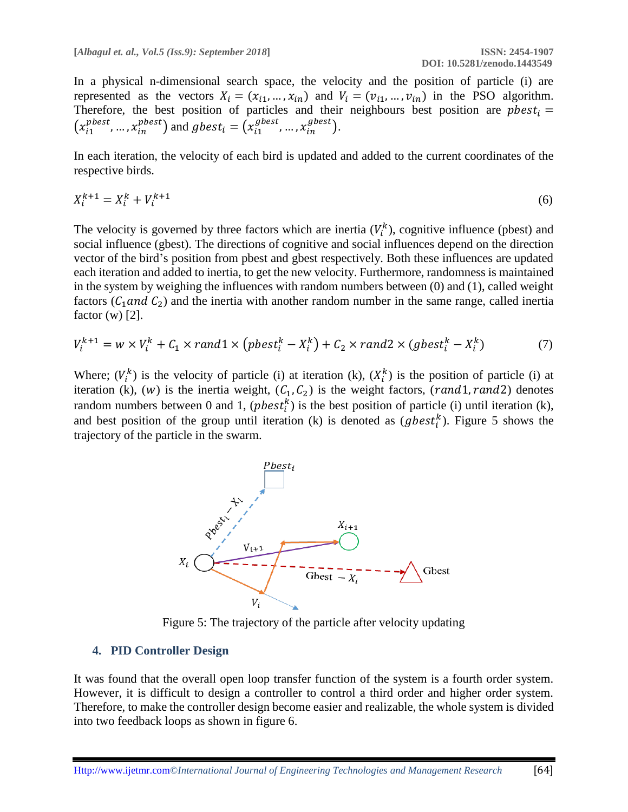In a physical n-dimensional search space, the velocity and the position of particle (i) are represented as the vectors  $X_i = (x_{i1}, ..., x_{in})$  and  $V_i = (v_{i1}, ..., v_{in})$  in the PSO algorithm. Therefore, the best position of particles and their neighbours best position are  $pbest_i =$  $(x_{i1}^{pbest}, ..., x_{in}^{pbest})$  and  $gbest_i = (x_{i1}^{gbest}, ..., x_{in}^{gbest})$ .

In each iteration, the velocity of each bird is updated and added to the current coordinates of the respective birds.

$$
X_i^{k+1} = X_i^k + V_i^{k+1} \tag{6}
$$

The velocity is governed by three factors which are inertia  $(V_i^k)$ , cognitive influence (pbest) and social influence (gbest). The directions of cognitive and social influences depend on the direction vector of the bird's position from pbest and gbest respectively. Both these influences are updated each iteration and added to inertia, to get the new velocity. Furthermore, randomness is maintained in the system by weighing the influences with random numbers between (0) and (1), called weight factors ( $C_1$  and  $C_2$ ) and the inertia with another random number in the same range, called inertia factor  $(w)$  [2].

$$
V_i^{k+1} = w \times V_i^k + C_1 \times rand1 \times \left( pbest_i^k - X_i^k \right) + C_2 \times rand2 \times (gbest_i^k - X_i^k)
$$
 (7)

Where;  $(V_i^k)$  is the velocity of particle (i) at iteration (k),  $(X_i^k)$  is the position of particle (i) at iteration (k), (w) is the inertia weight,  $(C_1, C_2)$  is the weight factors, (rand1, rand2) denotes random numbers between 0 and 1,  $( \textit{pbest}_i^k)$  is the best position of particle (i) until iteration (k), and best position of the group until iteration (k) is denoted as  $(gbest_i^k)$ . Figure 5 shows the trajectory of the particle in the swarm.



Figure 5: The trajectory of the particle after velocity updating

#### **4. PID Controller Design**

It was found that the overall open loop transfer function of the system is a fourth order system. However, it is difficult to design a controller to control a third order and higher order system. Therefore, to make the controller design become easier and realizable, the whole system is divided into two feedback loops as shown in figure 6.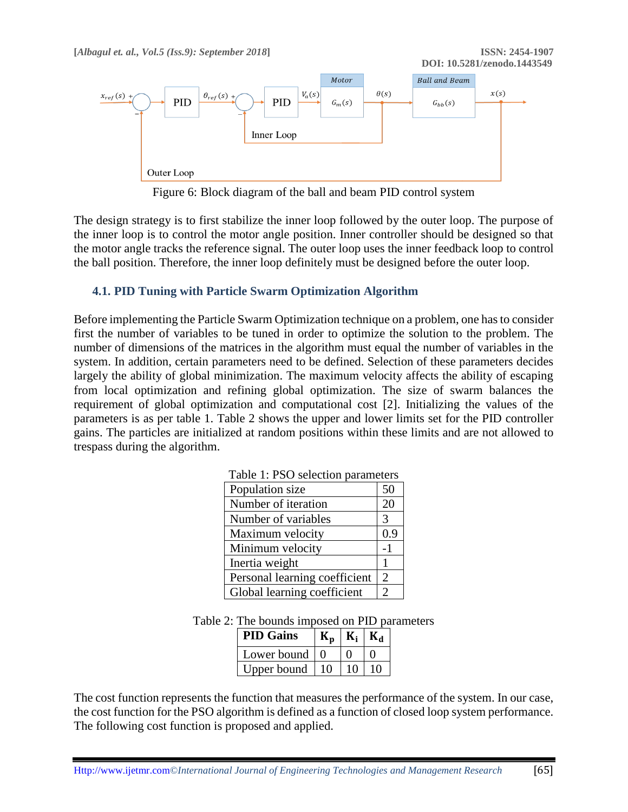

Figure 6: Block diagram of the ball and beam PID control system

The design strategy is to first stabilize the inner loop followed by the outer loop. The purpose of the inner loop is to control the motor angle position. Inner controller should be designed so that the motor angle tracks the reference signal. The outer loop uses the inner feedback loop to control the ball position. Therefore, the inner loop definitely must be designed before the outer loop.

## **4.1. PID Tuning with Particle Swarm Optimization Algorithm**

Before implementing the Particle Swarm Optimization technique on a problem, one has to consider first the number of variables to be tuned in order to optimize the solution to the problem. The number of dimensions of the matrices in the algorithm must equal the number of variables in the system. In addition, certain parameters need to be defined. Selection of these parameters decides largely the ability of global minimization. The maximum velocity affects the ability of escaping from local optimization and refining global optimization. The size of swarm balances the requirement of global optimization and computational cost [2]. Initializing the values of the parameters is as per table 1. Table 2 shows the upper and lower limits set for the PID controller gains. The particles are initialized at random positions within these limits and are not allowed to trespass during the algorithm.

| racio 1.150 selection parameters |                |
|----------------------------------|----------------|
| Population size                  | 50             |
| Number of iteration              | 20             |
| Number of variables              | 3              |
| Maximum velocity                 | 0.9            |
| Minimum velocity                 | $-1$           |
| Inertia weight                   |                |
| Personal learning coefficient    | $\overline{2}$ |
| Global learning coefficient      |                |

Table 1: PSO selection parameters

|  | Table 2: The bounds imposed on PID parameters |  |  |  |
|--|-----------------------------------------------|--|--|--|
|--|-----------------------------------------------|--|--|--|

| <b>PID Gains</b> |  |  |
|------------------|--|--|
| Lower bound      |  |  |
| Upper bound      |  |  |

The cost function represents the function that measures the performance of the system. In our case, the cost function for the PSO algorithm is defined as a function of closed loop system performance. The following cost function is proposed and applied.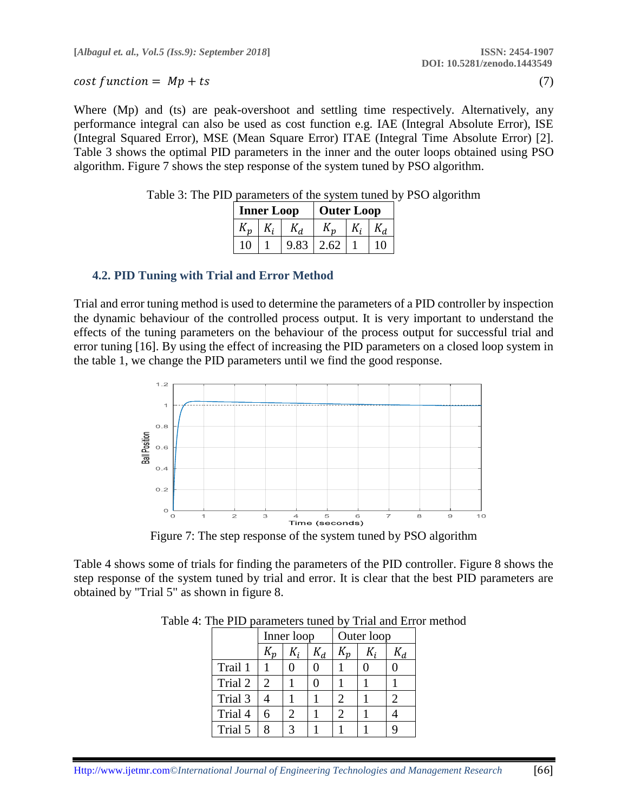#### $\cos t$  function =  $Mp + ts$  (7)

Where (Mp) and (ts) are peak-overshoot and settling time respectively. Alternatively, any performance integral can also be used as cost function e.g. IAE (Integral Absolute Error), ISE (Integral Squared Error), MSE (Mean Square Error) ITAE (Integral Time Absolute Error) [2]. Table 3 shows the optimal PID parameters in the inner and the outer loops obtained using PSO algorithm. Figure 7 shows the step response of the system tuned by PSO algorithm.

| <b>Inner Loop</b> |  |  | <b>Outer Loop</b> |  |  |  |
|-------------------|--|--|-------------------|--|--|--|
|                   |  |  |                   |  |  |  |
|                   |  |  | 2.62              |  |  |  |

Table 3: The PID parameters of the system tuned by PSO algorithm

#### **4.2. PID Tuning with Trial and Error Method**

Trial and error tuning method is used to determine the parameters of a PID controller by inspection the dynamic behaviour of the controlled process output. It is very important to understand the effects of the tuning parameters on the behaviour of the process output for successful trial and error tuning [16]. By using the effect of increasing the PID parameters on a closed loop system in the table 1, we change the PID parameters until we find the good response.



Figure 7: The step response of the system tuned by PSO algorithm

Table 4 shows some of trials for finding the parameters of the PID controller. Figure 8 shows the step response of the system tuned by trial and error. It is clear that the best PID parameters are obtained by "Trial 5" as shown in figure 8.

|         | Inner loop |  |                | Outer loop |  |                 |
|---------|------------|--|----------------|------------|--|-----------------|
|         |            |  | K <sub>d</sub> |            |  | $\mathcal{N}_d$ |
| Trail 1 |            |  |                |            |  |                 |
| Trial 2 |            |  |                |            |  |                 |
| Trial 3 |            |  |                |            |  |                 |
| Trial 4 |            |  |                |            |  |                 |
| Trial 5 |            |  |                |            |  |                 |

Table 4: The PID parameters tuned by Trial and Error method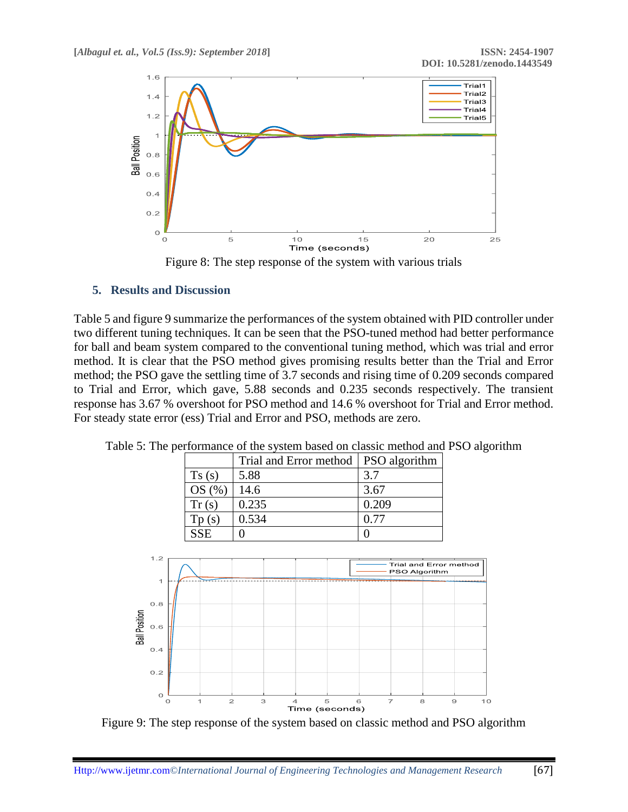

Figure 8: The step response of the system with various trials

## **5. Results and Discussion**

Table 5 and figure 9 summarize the performances of the system obtained with PID controller under two different tuning techniques. It can be seen that the PSO-tuned method had better performance for ball and beam system compared to the conventional tuning method, which was trial and error method. It is clear that the PSO method gives promising results better than the Trial and Error method; the PSO gave the settling time of 3.7 seconds and rising time of 0.209 seconds compared to Trial and Error, which gave, 5.88 seconds and 0.235 seconds respectively. The transient response has 3.67 % overshoot for PSO method and 14.6 % overshoot for Trial and Error method. For steady state error (ess) Trial and Error and PSO, methods are zero.

|       | Trial and Error method   PSO algorithm |       |
|-------|----------------------------------------|-------|
| Ts(s) | 5.88                                   | 3.7   |
| OS(%) | 14.6                                   | 3.67  |
| Tr(s) | 0.235                                  | 0.209 |
| Tp(s) | 0.534                                  | 0.77  |
|       |                                        |       |

Table 5: The performance of the system based on classic method and PSO algorithm

 $SSE \begin{array}{ccc} 0 & 0 \\ 0 & 0 \end{array}$ 



Figure 9: The step response of the system based on classic method and PSO algorithm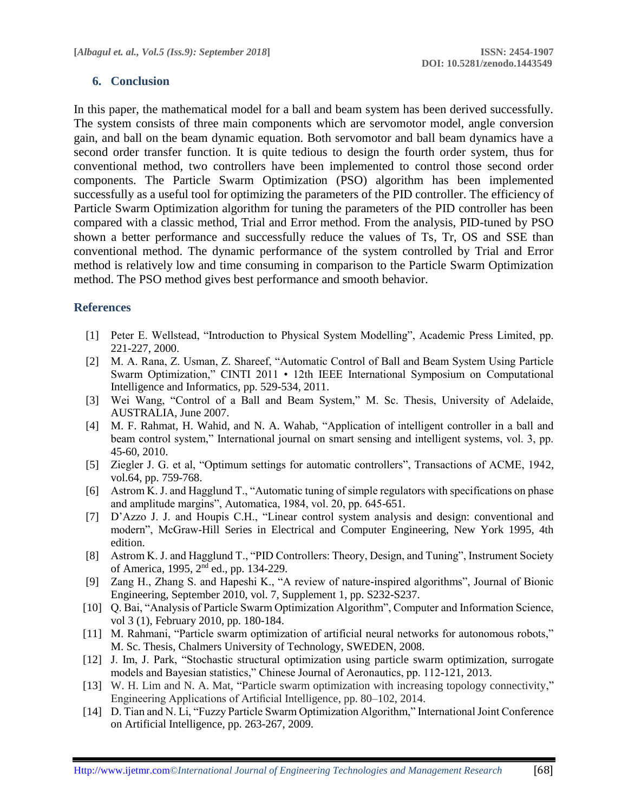## **6. Conclusion**

In this paper, the mathematical model for a ball and beam system has been derived successfully. The system consists of three main components which are servomotor model, angle conversion gain, and ball on the beam dynamic equation. Both servomotor and ball beam dynamics have a second order transfer function. It is quite tedious to design the fourth order system, thus for conventional method, two controllers have been implemented to control those second order components. The Particle Swarm Optimization (PSO) algorithm has been implemented successfully as a useful tool for optimizing the parameters of the PID controller. The efficiency of Particle Swarm Optimization algorithm for tuning the parameters of the PID controller has been compared with a classic method, Trial and Error method. From the analysis, PID-tuned by PSO shown a better performance and successfully reduce the values of Ts, Tr, OS and SSE than conventional method. The dynamic performance of the system controlled by Trial and Error method is relatively low and time consuming in comparison to the Particle Swarm Optimization method. The PSO method gives best performance and smooth behavior.

## **References**

- [1] Peter E. Wellstead, "Introduction to Physical System Modelling", Academic Press Limited, pp. 221-227, 2000.
- [2] M. A. Rana, Z. Usman, Z. Shareef, "Automatic Control of Ball and Beam System Using Particle Swarm Optimization," CINTI 2011 • 12th IEEE International Symposium on Computational Intelligence and Informatics, pp. 529-534, 2011.
- [3] Wei Wang, "Control of a Ball and Beam System," M. Sc. Thesis, University of Adelaide, AUSTRALIA, June 2007.
- [4] M. F. Rahmat, H. Wahid, and N. A. Wahab, "Application of intelligent controller in a ball and beam control system," International journal on smart sensing and intelligent systems, vol. 3, pp. 45-60, 2010.
- [5] Ziegler J. G. et al, "Optimum settings for automatic controllers", Transactions of ACME, 1942, vol.64, pp. 759-768.
- [6] Astrom K. J. and Hagglund T., "Automatic tuning of simple regulators with specifications on phase and amplitude margins", Automatica, 1984, vol. 20, pp. 645-651.
- [7] D'Azzo J. J. and Houpis C.H., "Linear control system analysis and design: conventional and modern", McGraw-Hill Series in Electrical and Computer Engineering, New York 1995, 4th edition.
- [8] Astrom K. J. and Hagglund T., "PID Controllers: Theory, Design, and Tuning", Instrument Society of America, 1995, 2nd ed., pp. 134-229.
- [9] Zang H., Zhang S. and Hapeshi K., "A review of nature-inspired algorithms", Journal of Bionic Engineering, September 2010, vol. 7, Supplement 1, pp. S232-S237.
- [10] Q. Bai, "Analysis of Particle Swarm Optimization Algorithm", Computer and Information Science, vol 3 (1), February 2010, pp. 180-184.
- [11] M. Rahmani, "Particle swarm optimization of artificial neural networks for autonomous robots," M. Sc. Thesis, Chalmers University of Technology, SWEDEN, 2008.
- [12] J. Im, J. Park, "Stochastic structural optimization using particle swarm optimization, surrogate models and Bayesian statistics," Chinese Journal of Aeronautics, pp. 112-121, 2013.
- [13] W. H. Lim and N. A. Mat, "Particle swarm optimization with increasing topology connectivity," Engineering Applications of Artificial Intelligence, pp. 80–102, 2014.
- [14] D. Tian and N. Li, "Fuzzy Particle Swarm Optimization Algorithm," International Joint Conference on Artificial Intelligence, pp. 263-267, 2009.